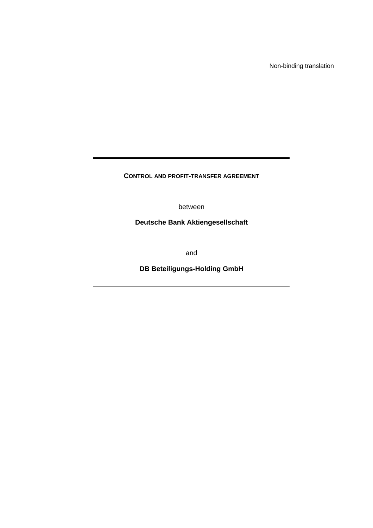Non-binding translation

**CONTROL AND PROFIT-TRANSFER AGREEMENT**

between

**Deutsche Bank Aktiengesellschaft** 

and

**DB Beteiligungs-Holding GmbH**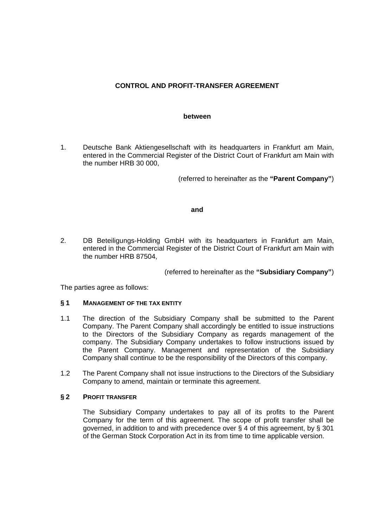# **CONTROL AND PROFIT-TRANSFER AGREEMENT**

#### **between**

1. Deutsche Bank Aktiengesellschaft with its headquarters in Frankfurt am Main, entered in the Commercial Register of the District Court of Frankfurt am Main with the number HRB 30 000,

(referred to hereinafter as the **"Parent Company"**)

#### **and**

2. DB Beteiligungs-Holding GmbH with its headquarters in Frankfurt am Main, entered in the Commercial Register of the District Court of Frankfurt am Main with the number HRB 87504,

(referred to hereinafter as the **"Subsidiary Company"**)

The parties agree as follows:

#### **§ 1 MANAGEMENT OF THE TAX ENTITY**

- 1.1 The direction of the Subsidiary Company shall be submitted to the Parent Company. The Parent Company shall accordingly be entitled to issue instructions to the Directors of the Subsidiary Company as regards management of the company. The Subsidiary Company undertakes to follow instructions issued by the Parent Company. Management and representation of the Subsidiary Company shall continue to be the responsibility of the Directors of this company.
- 1.2 The Parent Company shall not issue instructions to the Directors of the Subsidiary Company to amend, maintain or terminate this agreement.

#### **§ 2 PROFIT TRANSFER**

 The Subsidiary Company undertakes to pay all of its profits to the Parent Company for the term of this agreement. The scope of profit transfer shall be governed, in addition to and with precedence over § 4 of this agreement, by § 301 of the German Stock Corporation Act in its from time to time applicable version.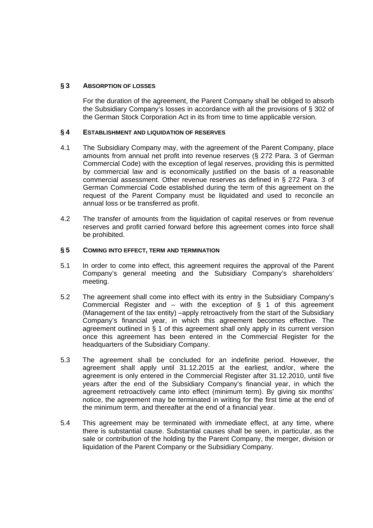# **§ 3 ABSORPTION OF LOSSES**

 For the duration of the agreement, the Parent Company shall be obliged to absorb the Subsidiary Company's losses in accordance with all the provisions of § 302 of the German Stock Corporation Act in its from time to time applicable version.

### **§ 4 ESTABLISHMENT AND LIQUIDATION OF RESERVES**

- 4.1 The Subsidiary Company may, with the agreement of the Parent Company, place amounts from annual net profit into revenue reserves (§ 272 Para. 3 of German Commercial Code) with the exception of legal reserves, providing this is permitted by commercial law and is economically justified on the basis of a reasonable commercial assessment. Other revenue reserves as defined in § 272 Para. 3 of German Commercial Code established during the term of this agreement on the request of the Parent Company must be liquidated and used to reconcile an annual loss or be transferred as profit.
- 4.2 The transfer of amounts from the liquidation of capital reserves or from revenue reserves and profit carried forward before this agreement comes into force shall be prohibited.

### **§ 5 COMING INTO EFFECT, TERM AND TERMINATION**

- 5.1 In order to come into effect, this agreement requires the approval of the Parent Company's general meeting and the Subsidiary Company's shareholders' meeting.
- 5.2 The agreement shall come into effect with its entry in the Subsidiary Company's Commercial Register and – with the exception of  $\S$  1 of this agreement (Management of the tax entity) –apply retroactively from the start of the Subsidiary Company's financial year, in which this agreement becomes effective. The agreement outlined in § 1 of this agreement shall only apply in its current version once this agreement has been entered in the Commercial Register for the headquarters of the Subsidiary Company.
- 5.3 The agreement shall be concluded for an indefinite period. However, the agreement shall apply until 31.12.2015 at the earliest, and/or, where the agreement is only entered in the Commercial Register after 31.12.2010, until five years after the end of the Subsidiary Company's financial year, in which the agreement retroactively came into effect (minimum term). By giving six months' notice, the agreement may be terminated in writing for the first time at the end of the minimum term, and thereafter at the end of a financial year.
- 5.4 This agreement may be terminated with immediate effect, at any time, where there is substantial cause. Substantial causes shall be seen, in particular, as the sale or contribution of the holding by the Parent Company, the merger, division or liquidation of the Parent Company or the Subsidiary Company.